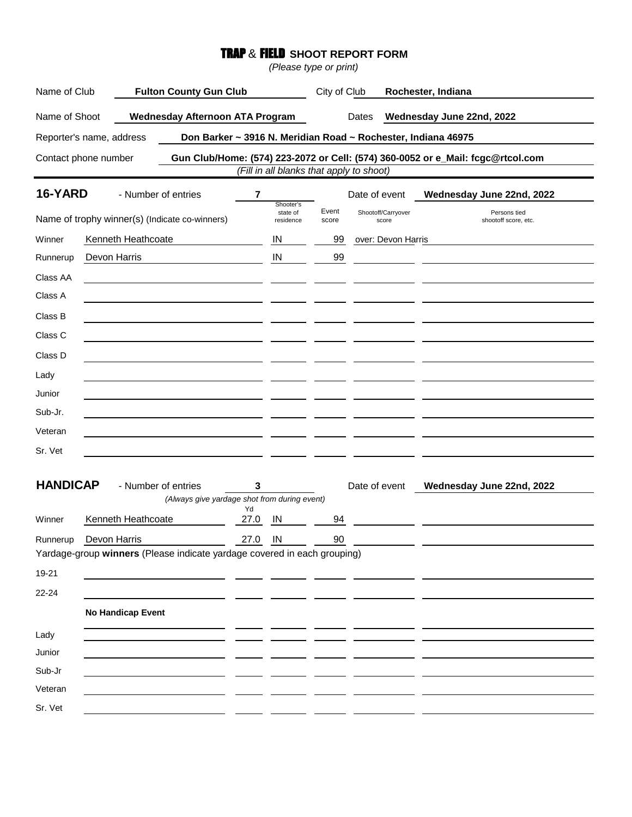## TRAP & FIELD **SHOOT REPORT FORM**

*(Please type or print)*

| Name of Club                                   |                          | <b>Fulton County Gun Club</b>                                            |                                    |                | City of Club                |                                          | Rochester, Indiana                                                              |  |
|------------------------------------------------|--------------------------|--------------------------------------------------------------------------|------------------------------------|----------------|-----------------------------|------------------------------------------|---------------------------------------------------------------------------------|--|
| Name of Shoot                                  |                          | <b>Wednesday Afternoon ATA Program</b>                                   |                                    | Dates          |                             | Wednesday June 22nd, 2022                |                                                                                 |  |
|                                                | Reporter's name, address |                                                                          |                                    |                |                             |                                          | Don Barker ~ 3916 N. Meridian Road ~ Rochester, Indiana 46975                   |  |
|                                                | Contact phone number     |                                                                          |                                    |                |                             | (Fill in all blanks that apply to shoot) | Gun Club/Home: (574) 223-2072 or Cell: (574) 360-0052 or e_Mail: fcgc@rtcol.com |  |
| 16-YARD                                        |                          | - Number of entries                                                      | 7                                  |                |                             | Date of event                            | Wednesday June 22nd, 2022                                                       |  |
| Name of trophy winner(s) (Indicate co-winners) |                          |                                                                          | Shooter's<br>state of<br>residence | Event<br>score | Shootoff/Carryover<br>score | Persons tied<br>shootoff score, etc.     |                                                                                 |  |
| Winner                                         | Kenneth Heathcoate       |                                                                          |                                    | IN             | 99                          | over: Devon Harris                       |                                                                                 |  |
| Runnerup                                       | Devon Harris             |                                                                          |                                    | IN             | 99                          |                                          |                                                                                 |  |
| Class AA                                       |                          |                                                                          |                                    |                |                             |                                          |                                                                                 |  |
| Class A                                        |                          |                                                                          |                                    |                |                             |                                          |                                                                                 |  |
| Class B                                        |                          |                                                                          |                                    |                |                             |                                          |                                                                                 |  |
| Class C                                        |                          |                                                                          |                                    |                |                             |                                          |                                                                                 |  |
| Class D                                        |                          |                                                                          |                                    |                |                             |                                          |                                                                                 |  |
| Lady                                           |                          |                                                                          |                                    |                |                             |                                          |                                                                                 |  |
| Junior                                         |                          |                                                                          |                                    |                |                             |                                          |                                                                                 |  |
| Sub-Jr.                                        |                          |                                                                          |                                    |                |                             |                                          |                                                                                 |  |
| Veteran                                        |                          |                                                                          |                                    |                |                             |                                          |                                                                                 |  |
| Sr. Vet                                        |                          |                                                                          |                                    |                |                             |                                          |                                                                                 |  |
| <b>HANDICAP</b>                                |                          | - Number of entries<br>(Always give yardage shot from during event)      | 3<br>Yd                            |                |                             | Date of event                            | Wednesday June 22nd, 2022                                                       |  |
| Winner                                         | Kenneth Heathcoate       |                                                                          | 27.0                               | IN             | 94                          |                                          |                                                                                 |  |
| Runnerup                                       | Devon Harris             | Yardage-group winners (Please indicate yardage covered in each grouping) | 27.0                               | IN             | 90                          |                                          |                                                                                 |  |
| 19-21                                          |                          |                                                                          |                                    |                |                             |                                          |                                                                                 |  |
| 22-24                                          |                          |                                                                          |                                    |                |                             |                                          |                                                                                 |  |
|                                                | No Handicap Event        |                                                                          |                                    |                |                             |                                          |                                                                                 |  |
| Lady                                           |                          |                                                                          |                                    |                |                             |                                          |                                                                                 |  |
| Junior                                         |                          |                                                                          |                                    |                |                             |                                          |                                                                                 |  |
| Sub-Jr                                         |                          |                                                                          |                                    |                |                             |                                          |                                                                                 |  |
| Veteran                                        |                          |                                                                          |                                    |                |                             |                                          |                                                                                 |  |
| Sr. Vet                                        |                          |                                                                          |                                    |                |                             |                                          |                                                                                 |  |